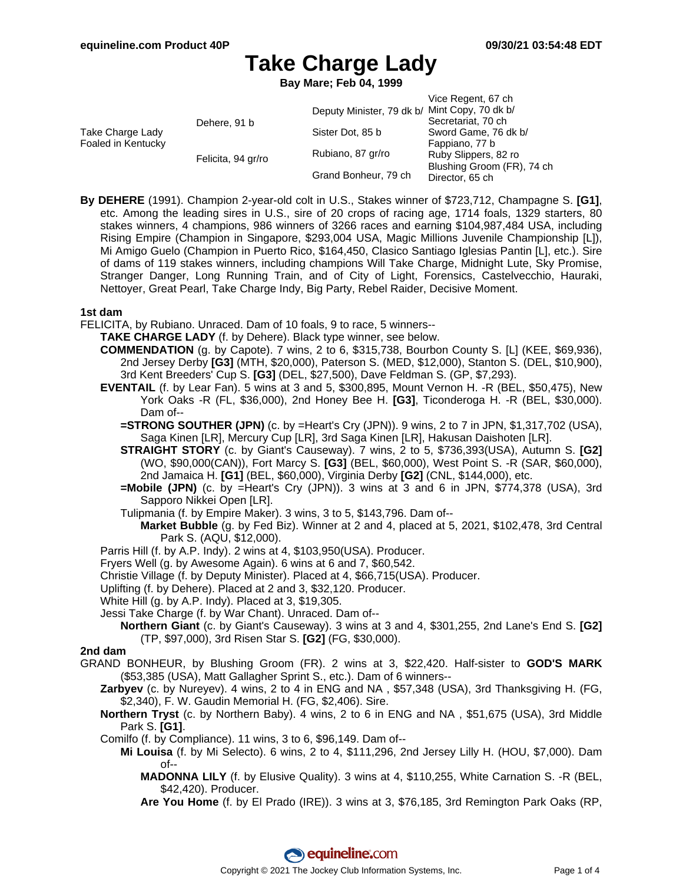**Bay Mare; Feb 04, 1999**

|                                        |                    |                                               | Vice Regent, 67 ch         |
|----------------------------------------|--------------------|-----------------------------------------------|----------------------------|
| Take Charge Lady<br>Foaled in Kentucky | Dehere, 91 b       | Deputy Minister, 79 dk b/ Mint Copy, 70 dk b/ |                            |
|                                        |                    |                                               | Secretariat, 70 ch         |
|                                        |                    | Sister Dot, 85 b                              | Sword Game, 76 dk b/       |
|                                        |                    |                                               | Fappiano, 77 b             |
|                                        | Felicita, 94 gr/ro | Rubiano, 87 gr/ro                             | Ruby Slippers, 82 ro       |
|                                        |                    | Grand Bonheur, 79 ch                          | Blushing Groom (FR), 74 ch |
|                                        |                    |                                               | Director, 65 ch            |

**By DEHERE** (1991). Champion 2-year-old colt in U.S., Stakes winner of \$723,712, Champagne S. **[G1]**, etc. Among the leading sires in U.S., sire of 20 crops of racing age, 1714 foals, 1329 starters, 80 stakes winners, 4 champions, 986 winners of 3266 races and earning \$104,987,484 USA, including Rising Empire (Champion in Singapore, \$293,004 USA, Magic Millions Juvenile Championship [L]), Mi Amigo Guelo (Champion in Puerto Rico, \$164,450, Clasico Santiago Iglesias Pantin [L], etc.). Sire of dams of 119 stakes winners, including champions Will Take Charge, Midnight Lute, Sky Promise, Stranger Danger, Long Running Train, and of City of Light, Forensics, Castelvecchio, Hauraki, Nettoyer, Great Pearl, Take Charge Indy, Big Party, Rebel Raider, Decisive Moment.

#### **1st dam**

- FELICITA, by Rubiano. Unraced. Dam of 10 foals, 9 to race, 5 winners--
	- **TAKE CHARGE LADY** (f. by Dehere). Black type winner, see below.
	- **COMMENDATION** (g. by Capote). 7 wins, 2 to 6, \$315,738, Bourbon County S. [L] (KEE, \$69,936), 2nd Jersey Derby **[G3]** (MTH, \$20,000), Paterson S. (MED, \$12,000), Stanton S. (DEL, \$10,900), 3rd Kent Breeders' Cup S. **[G3]** (DEL, \$27,500), Dave Feldman S. (GP, \$7,293).
	- **EVENTAIL** (f. by Lear Fan). 5 wins at 3 and 5, \$300,895, Mount Vernon H. -R (BEL, \$50,475), New York Oaks -R (FL, \$36,000), 2nd Honey Bee H. **[G3]**, Ticonderoga H. -R (BEL, \$30,000). Dam of--
		- **=STRONG SOUTHER (JPN)** (c. by =Heart's Cry (JPN)). 9 wins, 2 to 7 in JPN, \$1,317,702 (USA), Saga Kinen [LR], Mercury Cup [LR], 3rd Saga Kinen [LR], Hakusan Daishoten [LR].
		- **STRAIGHT STORY** (c. by Giant's Causeway). 7 wins, 2 to 5, \$736,393(USA), Autumn S. **[G2]** (WO, \$90,000(CAN)), Fort Marcy S. **[G3]** (BEL, \$60,000), West Point S. -R (SAR, \$60,000), 2nd Jamaica H. **[G1]** (BEL, \$60,000), Virginia Derby **[G2]** (CNL, \$144,000), etc.
		- **=Mobile (JPN)** (c. by =Heart's Cry (JPN)). 3 wins at 3 and 6 in JPN, \$774,378 (USA), 3rd Sapporo Nikkei Open [LR].
		- Tulipmania (f. by Empire Maker). 3 wins, 3 to 5, \$143,796. Dam of--
			- **Market Bubble** (g. by Fed Biz). Winner at 2 and 4, placed at 5, 2021, \$102,478, 3rd Central Park S. (AQU, \$12,000).
	- Parris Hill (f. by A.P. Indy). 2 wins at 4, \$103,950(USA). Producer.
	- Fryers Well (g. by Awesome Again). 6 wins at 6 and 7, \$60,542.
	- Christie Village (f. by Deputy Minister). Placed at 4, \$66,715(USA). Producer.
	- Uplifting (f. by Dehere). Placed at 2 and 3, \$32,120. Producer.
	- White Hill (g. by A.P. Indy). Placed at 3, \$19,305.
	- Jessi Take Charge (f. by War Chant). Unraced. Dam of--
		- **Northern Giant** (c. by Giant's Causeway). 3 wins at 3 and 4, \$301,255, 2nd Lane's End S. **[G2]** (TP, \$97,000), 3rd Risen Star S. **[G2]** (FG, \$30,000).

#### **2nd dam**

- GRAND BONHEUR, by Blushing Groom (FR). 2 wins at 3, \$22,420. Half-sister to **GOD'S MARK** (\$53,385 (USA), Matt Gallagher Sprint S., etc.). Dam of 6 winners--
	- **Zarbyev** (c. by Nureyev). 4 wins, 2 to 4 in ENG and NA , \$57,348 (USA), 3rd Thanksgiving H. (FG, \$2,340), F. W. Gaudin Memorial H. (FG, \$2,406). Sire.
	- **Northern Tryst** (c. by Northern Baby). 4 wins, 2 to 6 in ENG and NA , \$51,675 (USA), 3rd Middle Park S. **[G1]**.
	- Comilfo (f. by Compliance). 11 wins, 3 to 6, \$96,149. Dam of--
		- **Mi Louisa** (f. by Mi Selecto). 6 wins, 2 to 4, \$111,296, 2nd Jersey Lilly H. (HOU, \$7,000). Dam of--
			- **MADONNA LILY** (f. by Elusive Quality). 3 wins at 4, \$110,255, White Carnation S. -R (BEL, \$42,420). Producer.
			- **Are You Home** (f. by El Prado (IRE)). 3 wins at 3, \$76,185, 3rd Remington Park Oaks (RP,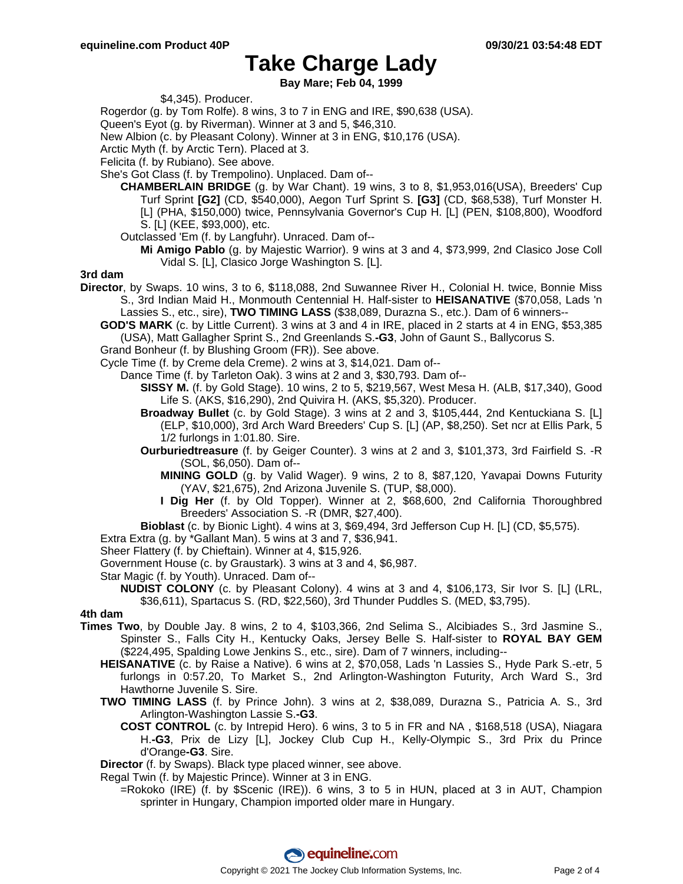**Bay Mare; Feb 04, 1999**

\$4,345). Producer.

Rogerdor (g. by Tom Rolfe). 8 wins, 3 to 7 in ENG and IRE, \$90,638 (USA).

Queen's Eyot (g. by Riverman). Winner at 3 and 5, \$46,310.

New Albion (c. by Pleasant Colony). Winner at 3 in ENG, \$10,176 (USA).

Arctic Myth (f. by Arctic Tern). Placed at 3.

Felicita (f. by Rubiano). See above.

She's Got Class (f. by Trempolino). Unplaced. Dam of--

- **CHAMBERLAIN BRIDGE** (g. by War Chant). 19 wins, 3 to 8, \$1,953,016(USA), Breeders' Cup Turf Sprint **[G2]** (CD, \$540,000), Aegon Turf Sprint S. **[G3]** (CD, \$68,538), Turf Monster H. [L] (PHA, \$150,000) twice, Pennsylvania Governor's Cup H. [L] (PEN, \$108,800), Woodford S. [L] (KEE, \$93,000), etc.
	- Outclassed 'Em (f. by Langfuhr). Unraced. Dam of--
		- **Mi Amigo Pablo** (g. by Majestic Warrior). 9 wins at 3 and 4, \$73,999, 2nd Clasico Jose Coll Vidal S. [L], Clasico Jorge Washington S. [L].

#### **3rd dam**

- **Director**, by Swaps. 10 wins, 3 to 6, \$118,088, 2nd Suwannee River H., Colonial H. twice, Bonnie Miss S., 3rd Indian Maid H., Monmouth Centennial H. Half-sister to **HEISANATIVE** (\$70,058, Lads 'n Lassies S., etc., sire), **TWO TIMING LASS** (\$38,089, Durazna S., etc.). Dam of 6 winners--
	- **GOD'S MARK** (c. by Little Current). 3 wins at 3 and 4 in IRE, placed in 2 starts at 4 in ENG, \$53,385 (USA), Matt Gallagher Sprint S., 2nd Greenlands S.**-G3**, John of Gaunt S., Ballycorus S.

Grand Bonheur (f. by Blushing Groom (FR)). See above.

Cycle Time (f. by Creme dela Creme). 2 wins at 3, \$14,021. Dam of--

Dance Time (f. by Tarleton Oak). 3 wins at 2 and 3, \$30,793. Dam of--

- **SISSY M.** (f. by Gold Stage). 10 wins, 2 to 5, \$219,567, West Mesa H. (ALB, \$17,340), Good Life S. (AKS, \$16,290), 2nd Quivira H. (AKS, \$5,320). Producer.
- **Broadway Bullet** (c. by Gold Stage). 3 wins at 2 and 3, \$105,444, 2nd Kentuckiana S. [L] (ELP, \$10,000), 3rd Arch Ward Breeders' Cup S. [L] (AP, \$8,250). Set ncr at Ellis Park, 5 1/2 furlongs in 1:01.80. Sire.
- **Ourburiedtreasure** (f. by Geiger Counter). 3 wins at 2 and 3, \$101,373, 3rd Fairfield S. -R (SOL, \$6,050). Dam of--
	- **MINING GOLD** (g. by Valid Wager). 9 wins, 2 to 8, \$87,120, Yavapai Downs Futurity (YAV, \$21,675), 2nd Arizona Juvenile S. (TUP, \$8,000).
	- **I Dig Her** (f. by Old Topper). Winner at 2, \$68,600, 2nd California Thoroughbred Breeders' Association S. -R (DMR, \$27,400).
- **Bioblast** (c. by Bionic Light). 4 wins at 3, \$69,494, 3rd Jefferson Cup H. [L] (CD, \$5,575).

Extra Extra (g. by \*Gallant Man). 5 wins at 3 and 7, \$36,941.

Sheer Flattery (f. by Chieftain). Winner at 4, \$15,926.

Government House (c. by Graustark). 3 wins at 3 and 4, \$6,987.

Star Magic (f. by Youth). Unraced. Dam of--

**NUDIST COLONY** (c. by Pleasant Colony). 4 wins at 3 and 4, \$106,173, Sir Ivor S. [L] (LRL, \$36,611), Spartacus S. (RD, \$22,560), 3rd Thunder Puddles S. (MED, \$3,795).

#### **4th dam**

- **Times Two**, by Double Jay. 8 wins, 2 to 4, \$103,366, 2nd Selima S., Alcibiades S., 3rd Jasmine S., Spinster S., Falls City H., Kentucky Oaks, Jersey Belle S. Half-sister to **ROYAL BAY GEM** (\$224,495, Spalding Lowe Jenkins S., etc., sire). Dam of 7 winners, including--
	- **HEISANATIVE** (c. by Raise a Native). 6 wins at 2, \$70,058, Lads 'n Lassies S., Hyde Park S.-etr, 5 furlongs in 0:57.20, To Market S., 2nd Arlington-Washington Futurity, Arch Ward S., 3rd Hawthorne Juvenile S. Sire.
	- **TWO TIMING LASS** (f. by Prince John). 3 wins at 2, \$38,089, Durazna S., Patricia A. S., 3rd Arlington-Washington Lassie S.**-G3**.
		- **COST CONTROL** (c. by Intrepid Hero). 6 wins, 3 to 5 in FR and NA , \$168,518 (USA), Niagara H.**-G3**, Prix de Lizy [L], Jockey Club Cup H., Kelly-Olympic S., 3rd Prix du Prince d'Orange**-G3**. Sire.

**Director** (f. by Swaps). Black type placed winner, see above.

Regal Twin (f. by Majestic Prince). Winner at 3 in ENG.

=Rokoko (IRE) (f. by \$Scenic (IRE)). 6 wins, 3 to 5 in HUN, placed at 3 in AUT, Champion sprinter in Hungary, Champion imported older mare in Hungary.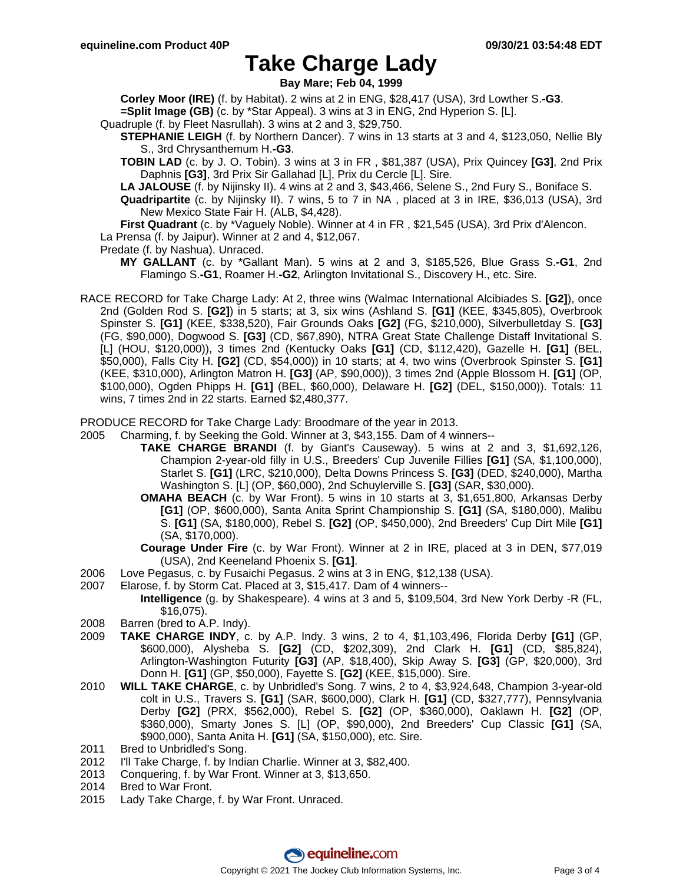**Bay Mare; Feb 04, 1999**

**Corley Moor (IRE)** (f. by Habitat). 2 wins at 2 in ENG, \$28,417 (USA), 3rd Lowther S.**-G3**.

**=Split Image (GB)** (c. by \*Star Appeal). 3 wins at 3 in ENG, 2nd Hyperion S. [L].

Quadruple (f. by Fleet Nasrullah). 3 wins at 2 and 3, \$29,750.

**STEPHANIE LEIGH** (f. by Northern Dancer). 7 wins in 13 starts at 3 and 4, \$123,050, Nellie Bly S., 3rd Chrysanthemum H.**-G3**.

**TOBIN LAD** (c. by J. O. Tobin). 3 wins at 3 in FR , \$81,387 (USA), Prix Quincey **[G3]**, 2nd Prix Daphnis **[G3]**, 3rd Prix Sir Gallahad [L], Prix du Cercle [L]. Sire.

**LA JALOUSE** (f. by Nijinsky II). 4 wins at 2 and 3, \$43,466, Selene S., 2nd Fury S., Boniface S.

**Quadripartite** (c. by Nijinsky II). 7 wins, 5 to 7 in NA , placed at 3 in IRE, \$36,013 (USA), 3rd New Mexico State Fair H. (ALB, \$4,428).

**First Quadrant** (c. by \*Vaguely Noble). Winner at 4 in FR , \$21,545 (USA), 3rd Prix d'Alencon. La Prensa (f. by Jaipur). Winner at 2 and 4, \$12,067.

Predate (f. by Nashua). Unraced.

**MY GALLANT** (c. by \*Gallant Man). 5 wins at 2 and 3, \$185,526, Blue Grass S.**-G1**, 2nd Flamingo S.**-G1**, Roamer H.**-G2**, Arlington Invitational S., Discovery H., etc. Sire.

RACE RECORD for Take Charge Lady: At 2, three wins (Walmac International Alcibiades S. **[G2]**), once 2nd (Golden Rod S. **[G2]**) in 5 starts; at 3, six wins (Ashland S. **[G1]** (KEE, \$345,805), Overbrook Spinster S. **[G1]** (KEE, \$338,520), Fair Grounds Oaks **[G2]** (FG, \$210,000), Silverbulletday S. **[G3]** (FG, \$90,000), Dogwood S. **[G3]** (CD, \$67,890), NTRA Great State Challenge Distaff Invitational S. [L] (HOU, \$120,000)), 3 times 2nd (Kentucky Oaks **[G1]** (CD, \$112,420), Gazelle H. **[G1]** (BEL, \$50,000), Falls City H. **[G2]** (CD, \$54,000)) in 10 starts; at 4, two wins (Overbrook Spinster S. **[G1]** (KEE, \$310,000), Arlington Matron H. **[G3]** (AP, \$90,000)), 3 times 2nd (Apple Blossom H. **[G1]** (OP, \$100,000), Ogden Phipps H. **[G1]** (BEL, \$60,000), Delaware H. **[G2]** (DEL, \$150,000)). Totals: 11 wins, 7 times 2nd in 22 starts. Earned \$2,480,377.

PRODUCE RECORD for Take Charge Lady: Broodmare of the year in 2013.

- 2005 Charming, f. by Seeking the Gold. Winner at 3, \$43,155. Dam of 4 winners--
	- **TAKE CHARGE BRANDI** (f. by Giant's Causeway). 5 wins at 2 and 3, \$1,692,126, Champion 2-year-old filly in U.S., Breeders' Cup Juvenile Fillies **[G1]** (SA, \$1,100,000), Starlet S. **[G1]** (LRC, \$210,000), Delta Downs Princess S. **[G3]** (DED, \$240,000), Martha Washington S. [L] (OP, \$60,000), 2nd Schuylerville S. **[G3]** (SAR, \$30,000).
		- **OMAHA BEACH** (c. by War Front). 5 wins in 10 starts at 3, \$1,651,800, Arkansas Derby **[G1]** (OP, \$600,000), Santa Anita Sprint Championship S. **[G1]** (SA, \$180,000), Malibu S. **[G1]** (SA, \$180,000), Rebel S. **[G2]** (OP, \$450,000), 2nd Breeders' Cup Dirt Mile **[G1]** (SA, \$170,000).

**Courage Under Fire** (c. by War Front). Winner at 2 in IRE, placed at 3 in DEN, \$77,019 (USA), 2nd Keeneland Phoenix S. **[G1]**.

- 2006 Love Pegasus, c. by Fusaichi Pegasus. 2 wins at 3 in ENG, \$12,138 (USA).
- 2007 Elarose, f. by Storm Cat. Placed at 3, \$15,417. Dam of 4 winners--

**Intelligence** (g. by Shakespeare). 4 wins at 3 and 5, \$109,504, 3rd New York Derby -R (FL, \$16,075).

- 2008 Barren (bred to A.P. Indy).
- 2009 **TAKE CHARGE INDY**, c. by A.P. Indy. 3 wins, 2 to 4, \$1,103,496, Florida Derby **[G1]** (GP, \$600,000), Alysheba S. **[G2]** (CD, \$202,309), 2nd Clark H. **[G1]** (CD, \$85,824), Arlington-Washington Futurity **[G3]** (AP, \$18,400), Skip Away S. **[G3]** (GP, \$20,000), 3rd Donn H. **[G1]** (GP, \$50,000), Fayette S. **[G2]** (KEE, \$15,000). Sire.
- 2010 **WILL TAKE CHARGE**, c. by Unbridled's Song. 7 wins, 2 to 4, \$3,924,648, Champion 3-year-old colt in U.S., Travers S. **[G1]** (SAR, \$600,000), Clark H. **[G1]** (CD, \$327,777), Pennsylvania Derby **[G2]** (PRX, \$562,000), Rebel S. **[G2]** (OP, \$360,000), Oaklawn H. **[G2]** (OP, \$360,000), Smarty Jones S. [L] (OP, \$90,000), 2nd Breeders' Cup Classic **[G1]** (SA, \$900,000), Santa Anita H. **[G1]** (SA, \$150,000), etc. Sire.
- 2011 Bred to Unbridled's Song.
- 2012 I'll Take Charge, f. by Indian Charlie. Winner at 3, \$82,400.
- 2013 Conquering, f. by War Front. Winner at 3, \$13,650.
- 2014 Bred to War Front.
- 2015 Lady Take Charge, f. by War Front. Unraced.